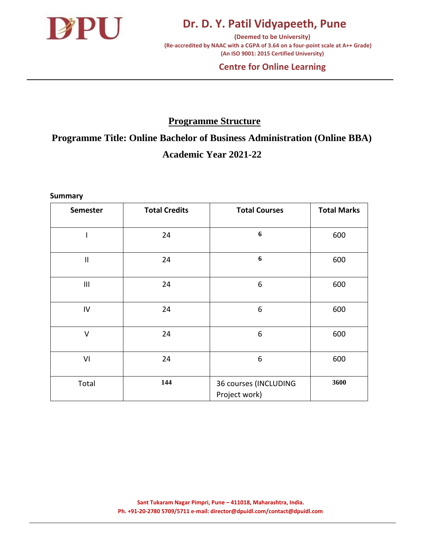

**(Deemed to be University) (Re-accredited by NAAC with a CGPA of 3.64 on a four-point scale at A++ Grade) (An ISO 9001: 2015 Certified University)** 

#### **Centre for Online Learning**

### **Programme Structure**

**Programme Title: Online Bachelor of Business Administration (Online BBA) Academic Year 2021-22**

**Summary**

| <b>Semester</b> | <b>Total Credits</b> | <b>Total Courses</b>                   | <b>Total Marks</b> |
|-----------------|----------------------|----------------------------------------|--------------------|
|                 | 24                   | 6                                      | 600                |
| $\mathbf{II}$   | 24                   | 6                                      | 600                |
| $\mathbf{III}$  | 24                   | 6                                      | 600                |
| IV              | 24                   | 6                                      | 600                |
| V               | 24                   | 6                                      | 600                |
| VI              | 24                   | 6                                      | 600                |
| Total           | 144                  | 36 courses (INCLUDING<br>Project work) | 3600               |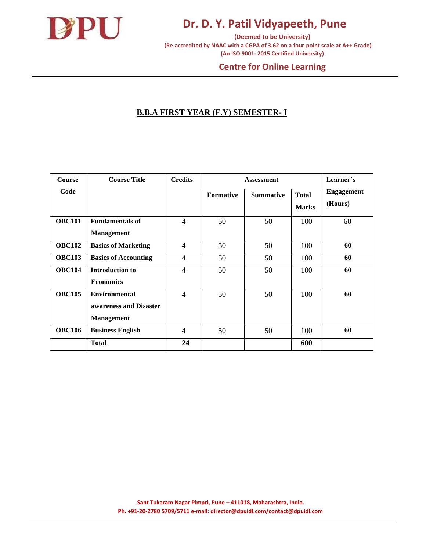

**(Deemed to be University) (Re-accredited by NAAC with a CGPA of 3.62 on a four-point scale at A++ Grade) (An ISO 9001: 2015 Certified University)** 

#### **Centre for Online Learning**

#### **B.B.A FIRST YEAR (F.Y) SEMESTER- I**

| Course        | <b>Course Title</b>         | <b>Credits</b> |                  |                  | Learner's                    |                              |
|---------------|-----------------------------|----------------|------------------|------------------|------------------------------|------------------------------|
| Code          |                             |                | <b>Formative</b> | <b>Summative</b> | <b>Total</b><br><b>Marks</b> | <b>Engagement</b><br>(Hours) |
| <b>OBC101</b> | <b>Fundamentals of</b>      | $\overline{4}$ | 50               | 50               | 100                          | 60                           |
|               | <b>Management</b>           |                |                  |                  |                              |                              |
| <b>OBC102</b> | <b>Basics of Marketing</b>  | $\overline{4}$ | 50               | 50               | 100                          | 60                           |
| <b>OBC103</b> | <b>Basics of Accounting</b> | $\overline{4}$ | 50               | 50               | 100                          | 60                           |
| <b>OBC104</b> | <b>Introduction to</b>      | $\overline{4}$ | 50               | 50               | 100                          | 60                           |
|               | <b>Economics</b>            |                |                  |                  |                              |                              |
| <b>OBC105</b> | <b>Environmental</b>        | $\overline{4}$ | 50               | 50               | 100                          | 60                           |
|               | awareness and Disaster      |                |                  |                  |                              |                              |
|               | <b>Management</b>           |                |                  |                  |                              |                              |
| <b>OBC106</b> | <b>Business English</b>     | $\overline{4}$ | 50               | 50               | 100                          | 60                           |
|               | <b>Total</b>                | 24             |                  |                  | 600                          |                              |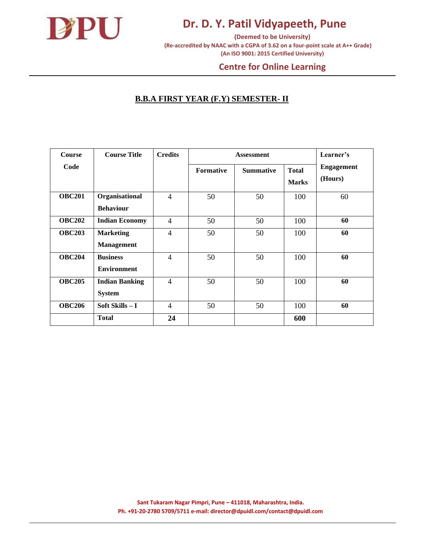

**(Deemed to be University) (Re-accredited by NAAC with a CGPA of 3.62 on a four-point scale at A++ Grade) (An ISO 9001: 2015 Certified University)** 

#### **Centre for Online Learning**

#### **B.B.A FIRST YEAR (F.Y) SEMESTER- II**

| <b>Course</b> | <b>Course Title</b>   | <b>Credits</b> |                  | <b>Assessment</b> |                              |                              |
|---------------|-----------------------|----------------|------------------|-------------------|------------------------------|------------------------------|
| Code          |                       |                | <b>Formative</b> | <b>Summative</b>  | <b>Total</b><br><b>Marks</b> | <b>Engagement</b><br>(Hours) |
| <b>OBC201</b> | Organisational        | $\overline{4}$ | 50               | 50                | 100                          | 60                           |
|               | <b>Behaviour</b>      |                |                  |                   |                              |                              |
| <b>OBC202</b> | <b>Indian Economy</b> | $\overline{4}$ | 50               | 50                | 100                          | 60                           |
| <b>OBC203</b> | <b>Marketing</b>      | $\overline{4}$ | 50               | 50                | 100                          | 60                           |
|               | <b>Management</b>     |                |                  |                   |                              |                              |
| <b>OBC204</b> | <b>Business</b>       | $\overline{4}$ | 50               | 50                | 100                          | 60                           |
|               | <b>Environment</b>    |                |                  |                   |                              |                              |
| <b>OBC205</b> | <b>Indian Banking</b> | $\overline{4}$ | 50               | 50                | 100                          | 60                           |
|               | <b>System</b>         |                |                  |                   |                              |                              |
| <b>OBC206</b> | Soft Skills - I       | $\overline{4}$ | 50               | 50                | 100                          | 60                           |
|               | <b>Total</b>          | 24             |                  |                   | 600                          |                              |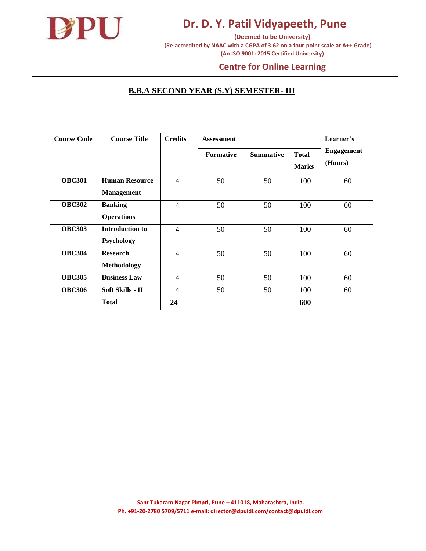

**(Deemed to be University) (Re-accredited by NAAC with a CGPA of 3.62 on a four-point scale at A++ Grade) (An ISO 9001: 2015 Certified University)** 

#### **Centre for Online Learning**

#### **B.B.A SECOND YEAR (S.Y) SEMESTER- III**

| <b>Course Code</b> | <b>Course Title</b>    | <b>Credits</b> | <b>Assessment</b> |                  |                              | Learner's                    |
|--------------------|------------------------|----------------|-------------------|------------------|------------------------------|------------------------------|
|                    |                        |                | <b>Formative</b>  | <b>Summative</b> | <b>Total</b><br><b>Marks</b> | <b>Engagement</b><br>(Hours) |
| <b>OBC301</b>      | <b>Human Resource</b>  | $\overline{4}$ | 50                | 50               | 100                          | 60                           |
|                    | <b>Management</b>      |                |                   |                  |                              |                              |
| <b>OBC302</b>      | <b>Banking</b>         | $\overline{4}$ | 50                | 50               | 100                          | 60                           |
|                    | <b>Operations</b>      |                |                   |                  |                              |                              |
| <b>OBC303</b>      | <b>Introduction to</b> | $\overline{4}$ | 50                | 50               | 100                          | 60                           |
|                    | Psychology             |                |                   |                  |                              |                              |
| <b>OBC304</b>      | <b>Research</b>        | $\overline{4}$ | 50                | 50               | 100                          | 60                           |
|                    | <b>Methodology</b>     |                |                   |                  |                              |                              |
| <b>OBC305</b>      | <b>Business Law</b>    | $\overline{4}$ | 50                | 50               | 100                          | 60                           |
| <b>OBC306</b>      | Soft Skills - II       | 4              | 50                | 50               | 100                          | 60                           |
|                    | <b>Total</b>           | 24             |                   |                  | 600                          |                              |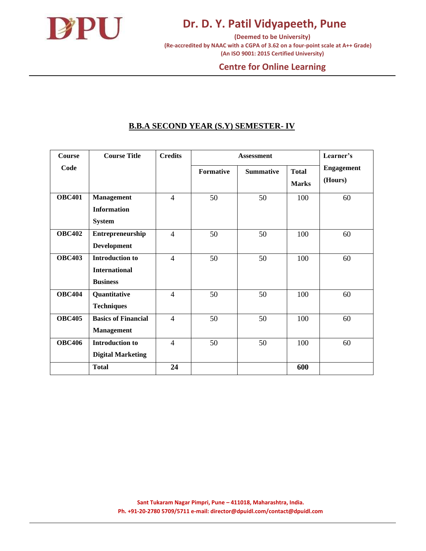

**(Deemed to be University) (Re-accredited by NAAC with a CGPA of 3.62 on a four-point scale at A++ Grade) (An ISO 9001: 2015 Certified University)** 

#### **Centre for Online Learning**

#### **B.B.A SECOND YEAR (S.Y) SEMESTER- IV**

| Course        | <b>Course Title</b>                                               | <b>Credits</b> |                  | <b>Assessment</b> |                              | Learner's                    |
|---------------|-------------------------------------------------------------------|----------------|------------------|-------------------|------------------------------|------------------------------|
| Code          |                                                                   |                | <b>Formative</b> | <b>Summative</b>  | <b>Total</b><br><b>Marks</b> | <b>Engagement</b><br>(Hours) |
| <b>OBC401</b> | <b>Management</b><br><b>Information</b><br><b>System</b>          | $\overline{4}$ | 50               | 50                | 100                          | 60                           |
| <b>OBC402</b> | Entrepreneurship<br>Development                                   | $\overline{4}$ | 50               | 50                | 100                          | 60                           |
| <b>OBC403</b> | <b>Introduction to</b><br><b>International</b><br><b>Business</b> | $\overline{4}$ | 50               | 50                | 100                          | 60                           |
| <b>OBC404</b> | Quantitative<br><b>Techniques</b>                                 | $\overline{4}$ | 50               | 50                | 100                          | 60                           |
| <b>OBC405</b> | <b>Basics of Financial</b><br><b>Management</b>                   | $\overline{4}$ | 50               | 50                | 100                          | 60                           |
| <b>OBC406</b> | <b>Introduction to</b><br><b>Digital Marketing</b>                | $\overline{4}$ | 50               | 50                | 100                          | 60                           |
|               | <b>Total</b>                                                      | 24             |                  |                   | 600                          |                              |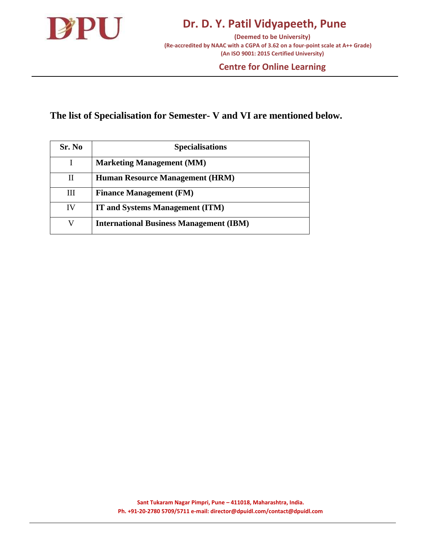

**(Deemed to be University) (Re-accredited by NAAC with a CGPA of 3.62 on a four-point scale at A++ Grade) (An ISO 9001: 2015 Certified University)** 

#### **Centre for Online Learning**

### **The list of Specialisation for Semester- V and VI are mentioned below.**

| Sr. No | <b>Specialisations</b>                         |
|--------|------------------------------------------------|
|        | <b>Marketing Management (MM)</b>               |
| Н      | <b>Human Resource Management (HRM)</b>         |
| Ш      | <b>Finance Management (FM)</b>                 |
| IV     | <b>IT and Systems Management (ITM)</b>         |
| V      | <b>International Business Management (IBM)</b> |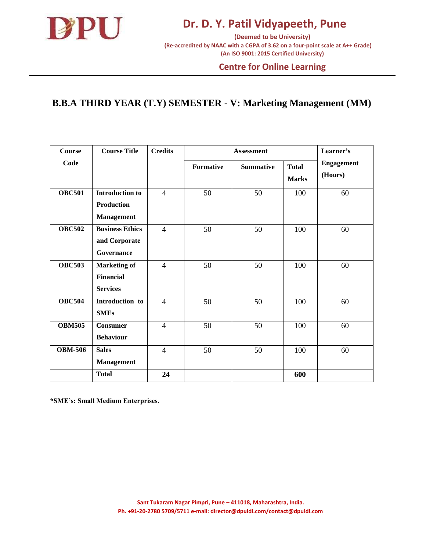

#### **Centre for Online Learning**

### **B.B.A THIRD YEAR (T.Y) SEMESTER - V: Marketing Management (MM)**

| Course         | <b>Course Title</b>                                        | <b>Credits</b> |           | <b>Assessment</b> |                              | Learner's                    |
|----------------|------------------------------------------------------------|----------------|-----------|-------------------|------------------------------|------------------------------|
| Code           |                                                            |                | Formative | <b>Summative</b>  | <b>Total</b><br><b>Marks</b> | <b>Engagement</b><br>(Hours) |
| <b>OBC501</b>  | <b>Introduction to</b><br>Production                       | $\overline{4}$ | 50        | 50                | 100                          | 60                           |
| <b>OBC502</b>  | <b>Management</b><br><b>Business Ethics</b>                | $\overline{4}$ | 50        | 50                | 100                          | 60                           |
|                | and Corporate<br>Governance                                |                |           |                   |                              |                              |
| <b>OBC503</b>  | <b>Marketing of</b><br><b>Financial</b><br><b>Services</b> | $\overline{4}$ | 50        | 50                | 100                          | 60                           |
| <b>OBC504</b>  | Introduction to<br><b>SMEs</b>                             | $\overline{4}$ | 50        | 50                | 100                          | 60                           |
| <b>OBM505</b>  | <b>Consumer</b><br><b>Behaviour</b>                        | $\overline{4}$ | 50        | 50                | 100                          | 60                           |
| <b>OBM-506</b> | <b>Sales</b><br><b>Management</b>                          | $\overline{4}$ | 50        | 50                | 100                          | 60                           |
|                | <b>Total</b>                                               | 24             |           |                   | 600                          |                              |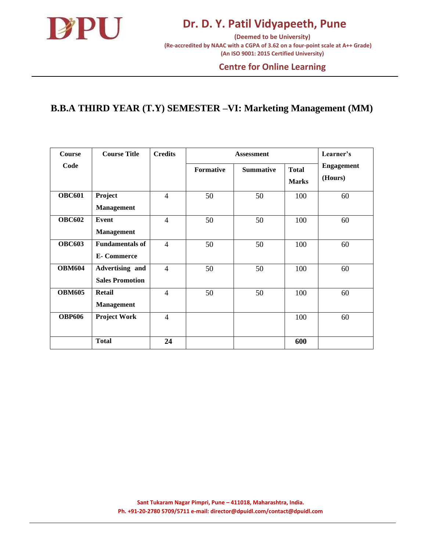

**(Deemed to be University) (Re-accredited by NAAC with a CGPA of 3.62 on a four-point scale at A++ Grade) (An ISO 9001: 2015 Certified University)** 

#### **Centre for Online Learning**

### **B.B.A THIRD YEAR (T.Y) SEMESTER –VI: Marketing Management (MM)**

| <b>Course</b> | <b>Course Title</b>                         | <b>Credits</b> |                  | <b>Assessment</b> |                              | Learner's                    |
|---------------|---------------------------------------------|----------------|------------------|-------------------|------------------------------|------------------------------|
| Code          |                                             |                | <b>Formative</b> | <b>Summative</b>  | <b>Total</b><br><b>Marks</b> | <b>Engagement</b><br>(Hours) |
| <b>OBC601</b> | Project<br><b>Management</b>                | $\overline{4}$ | 50               | 50                | 100                          | 60                           |
| <b>OBC602</b> | <b>Event</b><br><b>Management</b>           | $\overline{4}$ | 50               | 50                | 100                          | 60                           |
| <b>OBC603</b> | <b>Fundamentals of</b><br><b>E-Commerce</b> | $\overline{4}$ | 50               | 50                | 100                          | 60                           |
| <b>OBM604</b> | Advertising and<br><b>Sales Promotion</b>   | $\overline{4}$ | 50               | 50                | 100                          | 60                           |
| <b>OBM605</b> | <b>Retail</b><br><b>Management</b>          | $\overline{4}$ | 50               | 50                | 100                          | 60                           |
| <b>OBP606</b> | <b>Project Work</b>                         | $\overline{4}$ |                  |                   | 100                          | 60                           |
|               | <b>Total</b>                                | 24             |                  |                   | 600                          |                              |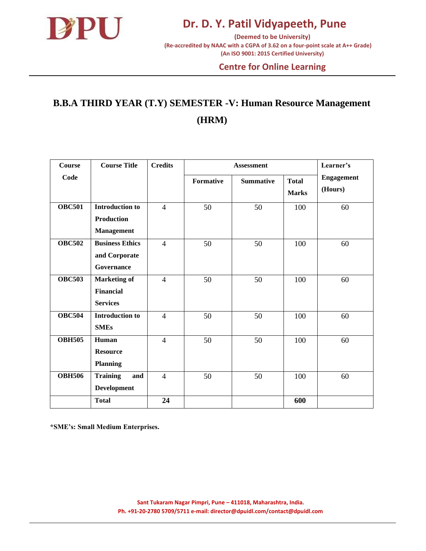

#### **Centre for Online Learning**

## **B.B.A THIRD YEAR (T.Y) SEMESTER -V: Human Resource Management (HRM)**

| Course        | <b>Course Title</b>                                              | <b>Credits</b> |           | Learner's        |                              |                              |
|---------------|------------------------------------------------------------------|----------------|-----------|------------------|------------------------------|------------------------------|
| Code          |                                                                  |                | Formative | <b>Summative</b> | <b>Total</b><br><b>Marks</b> | <b>Engagement</b><br>(Hours) |
| <b>OBC501</b> | <b>Introduction to</b><br><b>Production</b><br><b>Management</b> | $\overline{4}$ | 50        | 50               | 100                          | 60                           |
| <b>OBC502</b> | <b>Business Ethics</b><br>and Corporate<br><b>Governance</b>     | $\overline{4}$ | 50        | 50               | 100                          | 60                           |
| <b>OBC503</b> | <b>Marketing of</b><br><b>Financial</b><br><b>Services</b>       | $\overline{4}$ | 50        | 50               | 100                          | 60                           |
| <b>OBC504</b> | <b>Introduction to</b><br><b>SMEs</b>                            | $\overline{4}$ | 50        | 50               | 100                          | 60                           |
| <b>OBH505</b> | Human<br><b>Resource</b><br><b>Planning</b>                      | $\overline{4}$ | 50        | 50               | 100                          | 60                           |
| <b>OBH506</b> | <b>Training</b><br>and<br><b>Development</b>                     | $\overline{4}$ | 50        | 50               | 100                          | 60                           |
|               | <b>Total</b>                                                     | 24             |           |                  | 600                          |                              |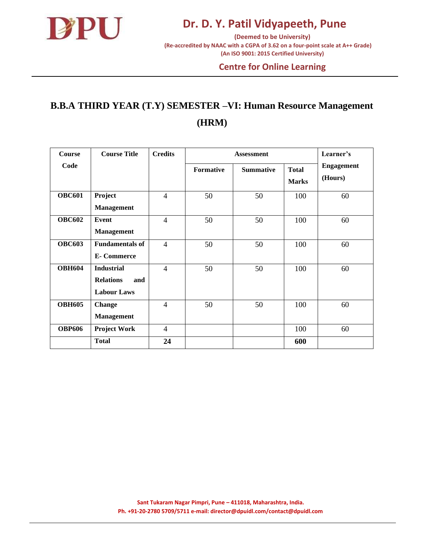

#### **Centre for Online Learning**

## **B.B.A THIRD YEAR (T.Y) SEMESTER –VI: Human Resource Management (HRM)**

| <b>Course</b> | <b>Course Title</b>                                                | <b>Credits</b>           |                  | <b>Assessment</b> |                              | Learner's                    |
|---------------|--------------------------------------------------------------------|--------------------------|------------------|-------------------|------------------------------|------------------------------|
| Code          |                                                                    |                          | <b>Formative</b> | <b>Summative</b>  | <b>Total</b><br><b>Marks</b> | <b>Engagement</b><br>(Hours) |
| <b>OBC601</b> | Project<br><b>Management</b>                                       | $\overline{4}$           | 50               | 50                | 100                          | 60                           |
| <b>OBC602</b> | Event<br><b>Management</b>                                         | $\overline{4}$           | 50               | 50                | 100                          | 60                           |
| <b>OBC603</b> | <b>Fundamentals of</b><br><b>E-Commerce</b>                        | $\overline{4}$           | 50               | 50                | 100                          | 60                           |
| <b>OBH604</b> | <b>Industrial</b><br><b>Relations</b><br>and<br><b>Labour Laws</b> | $\overline{4}$           | 50               | 50                | 100                          | 60                           |
| <b>OBH605</b> | Change<br><b>Management</b>                                        | $\overline{\mathcal{A}}$ | 50               | 50                | 100                          | 60                           |
| <b>OBP606</b> | <b>Project Work</b>                                                | $\overline{4}$           |                  |                   | 100                          | 60                           |
|               | <b>Total</b>                                                       | 24                       |                  |                   | 600                          |                              |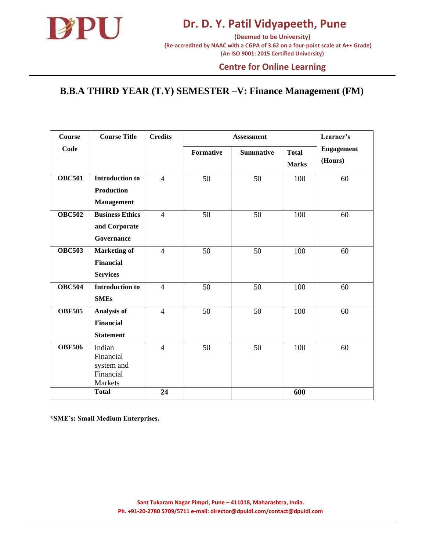

#### **Centre for Online Learning**

### **B.B.A THIRD YEAR (T.Y) SEMESTER –V: Finance Management (FM)**

| <b>Course</b> | <b>Course Title</b>                                              | <b>Credits</b> |                  | <b>Assessment</b> |                              | Learner's                    |
|---------------|------------------------------------------------------------------|----------------|------------------|-------------------|------------------------------|------------------------------|
| Code          |                                                                  |                | <b>Formative</b> | <b>Summative</b>  | <b>Total</b><br><b>Marks</b> | <b>Engagement</b><br>(Hours) |
| <b>OBC501</b> | <b>Introduction to</b><br><b>Production</b><br><b>Management</b> | $\overline{4}$ | 50               | 50                | 100                          | 60                           |
| <b>OBC502</b> | <b>Business Ethics</b><br>and Corporate<br>Governance            | $\overline{4}$ | 50               | 50                | 100                          | 60                           |
| <b>OBC503</b> | <b>Marketing of</b><br><b>Financial</b><br><b>Services</b>       | $\overline{4}$ | 50               | 50                | 100                          | 60                           |
| <b>OBC504</b> | <b>Introduction to</b><br><b>SMEs</b>                            | $\overline{4}$ | 50               | 50                | 100                          | 60                           |
| <b>OBF505</b> | <b>Analysis of</b><br><b>Financial</b><br><b>Statement</b>       | $\overline{4}$ | 50               | 50                | 100                          | 60                           |
| <b>OBF506</b> | Indian<br>Financial<br>system and<br>Financial<br>Markets        | $\overline{4}$ | 50               | 50                | 100                          | 60                           |
|               | <b>Total</b>                                                     | 24             |                  |                   | 600                          |                              |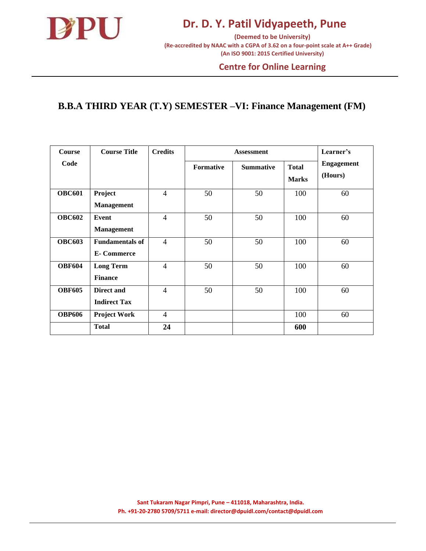

#### **Centre for Online Learning**

### **B.B.A THIRD YEAR (T.Y) SEMESTER –VI: Finance Management (FM)**

| <b>Course</b> | <b>Course Title</b>                           | <b>Credits</b>           |                  | <b>Assessment</b> |                              |                              |  |
|---------------|-----------------------------------------------|--------------------------|------------------|-------------------|------------------------------|------------------------------|--|
| Code          |                                               |                          | <b>Formative</b> | <b>Summative</b>  | <b>Total</b><br><b>Marks</b> | <b>Engagement</b><br>(Hours) |  |
| <b>OBC601</b> | Project<br><b>Management</b>                  | $\overline{4}$           | 50               | 50                | 100                          | 60                           |  |
| <b>OBC602</b> | Event<br><b>Management</b>                    | 4                        | 50               | 50                | 100                          | 60                           |  |
| <b>OBC603</b> | <b>Fundamentals of</b><br><b>E</b> - Commerce | $\overline{4}$           | 50               | 50                | 100                          | 60                           |  |
| <b>OBF604</b> | <b>Long Term</b><br><b>Finance</b>            | 4                        | 50               | 50                | 100                          | 60                           |  |
| <b>OBF605</b> | Direct and<br><b>Indirect Tax</b>             | $\overline{\mathcal{A}}$ | 50               | 50                | 100                          | 60                           |  |
| <b>OBP606</b> | <b>Project Work</b>                           | 4                        |                  |                   | 100                          | 60                           |  |
|               | <b>Total</b>                                  | 24                       |                  |                   | 600                          |                              |  |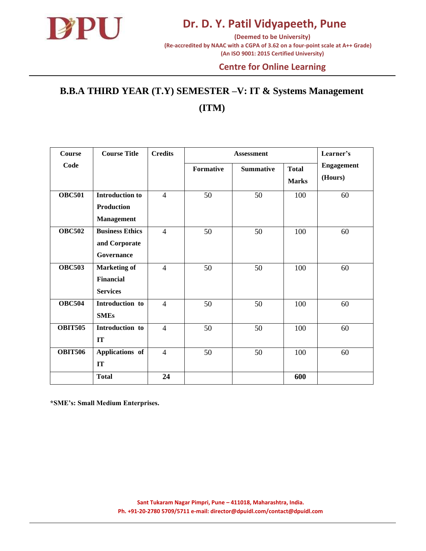

**(Deemed to be University) (Re-accredited by NAAC with a CGPA of 3.62 on a four-point scale at A++ Grade) (An ISO 9001: 2015 Certified University)** 

#### **Centre for Online Learning**

## **B.B.A THIRD YEAR (T.Y) SEMESTER –V: IT & Systems Management (ITM)**

| Course         | <b>Course Title</b>    | <b>Credits</b> | <b>Assessment</b> |                  |                              | Learner's                    |
|----------------|------------------------|----------------|-------------------|------------------|------------------------------|------------------------------|
| Code           |                        |                | Formative         | <b>Summative</b> | <b>Total</b><br><b>Marks</b> | <b>Engagement</b><br>(Hours) |
| <b>OBC501</b>  | <b>Introduction to</b> | $\overline{4}$ | 50                | 50               | 100                          | 60                           |
|                | <b>Production</b>      |                |                   |                  |                              |                              |
|                | <b>Management</b>      |                |                   |                  |                              |                              |
| <b>OBC502</b>  | <b>Business Ethics</b> | $\overline{4}$ | 50                | 50               | 100                          | 60                           |
|                | and Corporate          |                |                   |                  |                              |                              |
|                | Governance             |                |                   |                  |                              |                              |
| <b>OBC503</b>  | <b>Marketing of</b>    | $\overline{4}$ | 50                | 50               | 100                          | 60                           |
|                | <b>Financial</b>       |                |                   |                  |                              |                              |
|                | <b>Services</b>        |                |                   |                  |                              |                              |
| <b>OBC504</b>  | Introduction to        | $\overline{4}$ | 50                | 50               | 100                          | 60                           |
|                | <b>SMEs</b>            |                |                   |                  |                              |                              |
| <b>OBIT505</b> | Introduction to        | $\overline{4}$ | 50                | 50               | 100                          | 60                           |
|                | <b>IT</b>              |                |                   |                  |                              |                              |
| <b>OBIT506</b> | Applications of        | $\overline{4}$ | 50                | 50               | 100                          | 60                           |
|                | IT                     |                |                   |                  |                              |                              |
|                | <b>Total</b>           | 24             |                   |                  | 600                          |                              |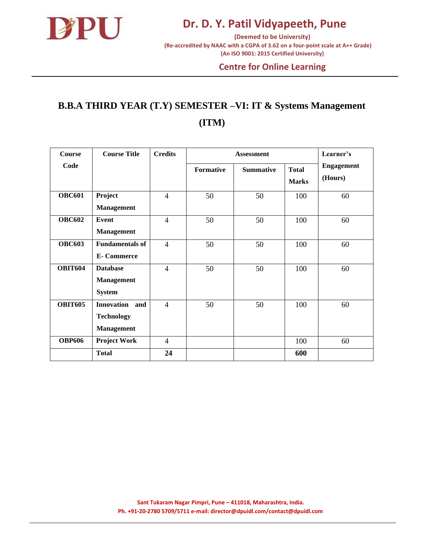

**(Deemed to be University) (Re-accredited by NAAC with a CGPA of 3.62 on a four-point scale at A++ Grade) (An ISO 9001: 2015 Certified University)** 

#### **Centre for Online Learning**

## **B.B.A THIRD YEAR (T.Y) SEMESTER –VI: IT & Systems Management (ITM)**

| <b>Course</b>  | <b>Course Title</b>                                                | <b>Credits</b> | <b>Assessment</b> |                  |                              | Learner's                    |
|----------------|--------------------------------------------------------------------|----------------|-------------------|------------------|------------------------------|------------------------------|
| Code           |                                                                    |                | <b>Formative</b>  | <b>Summative</b> | <b>Total</b><br><b>Marks</b> | <b>Engagement</b><br>(Hours) |
| <b>OBC601</b>  | Project<br><b>Management</b>                                       | $\overline{4}$ | 50                | 50               | 100                          | 60                           |
| <b>OBC602</b>  | <b>Event</b><br><b>Management</b>                                  | $\overline{4}$ | 50                | 50               | 100                          | 60                           |
| <b>OBC603</b>  | <b>Fundamentals of</b><br><b>E-Commerce</b>                        | $\overline{4}$ | 50                | 50               | 100                          | 60                           |
| <b>OBIT604</b> | <b>Database</b><br><b>Management</b><br><b>System</b>              | $\overline{4}$ | 50                | 50               | 100                          | 60                           |
| <b>OBIT605</b> | <b>Innovation</b><br>and<br><b>Technology</b><br><b>Management</b> | $\overline{4}$ | 50                | 50               | 100                          | 60                           |
| <b>OBP606</b>  | <b>Project Work</b>                                                | $\overline{4}$ |                   |                  | 100                          | 60                           |
|                | <b>Total</b>                                                       | 24             |                   |                  | 600                          |                              |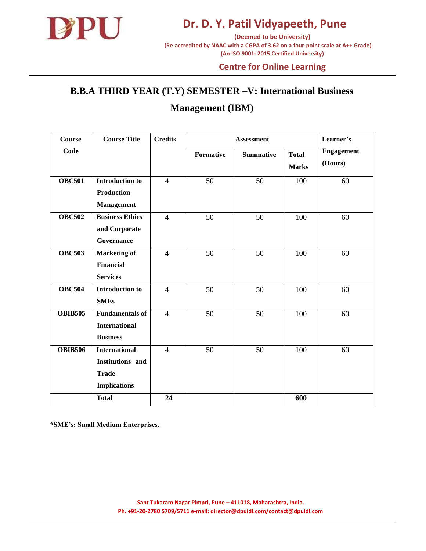

**(Deemed to be University) (Re-accredited by NAAC with a CGPA of 3.62 on a four-point scale at A++ Grade) (An ISO 9001: 2015 Certified University)** 

#### **Centre for Online Learning**

# **B.B.A THIRD YEAR (T.Y) SEMESTER –V: International Business**

### **Management (IBM)**

| <b>Course</b>  | <b>Course Title</b>    | <b>Credits</b> | <b>Assessment</b> |                  |              | Learner's         |
|----------------|------------------------|----------------|-------------------|------------------|--------------|-------------------|
| Code           |                        |                | <b>Formative</b>  | <b>Summative</b> | <b>Total</b> | <b>Engagement</b> |
|                |                        |                |                   |                  | <b>Marks</b> | (Hours)           |
| <b>OBC501</b>  | <b>Introduction to</b> | $\overline{4}$ | 50                | 50               | 100          | 60                |
|                | <b>Production</b>      |                |                   |                  |              |                   |
|                | <b>Management</b>      |                |                   |                  |              |                   |
| <b>OBC502</b>  | <b>Business Ethics</b> | $\overline{4}$ | 50                | 50               | 100          | 60                |
|                | and Corporate          |                |                   |                  |              |                   |
|                | Governance             |                |                   |                  |              |                   |
| <b>OBC503</b>  | <b>Marketing of</b>    | $\overline{4}$ | 50                | 50               | 100          | 60                |
|                | <b>Financial</b>       |                |                   |                  |              |                   |
|                | <b>Services</b>        |                |                   |                  |              |                   |
| <b>OBC504</b>  | <b>Introduction to</b> | $\overline{4}$ | 50                | 50               | 100          | 60                |
|                | <b>SMEs</b>            |                |                   |                  |              |                   |
| <b>OBIB505</b> | <b>Fundamentals of</b> | $\overline{4}$ | 50                | 50               | 100          | 60                |
|                | <b>International</b>   |                |                   |                  |              |                   |
|                | <b>Business</b>        |                |                   |                  |              |                   |
| <b>OBIB506</b> | <b>International</b>   | $\overline{4}$ | 50                | 50               | 100          | 60                |
|                | Institutions and       |                |                   |                  |              |                   |
|                | <b>Trade</b>           |                |                   |                  |              |                   |
|                | <b>Implications</b>    |                |                   |                  |              |                   |
|                | <b>Total</b>           | 24             |                   |                  | 600          |                   |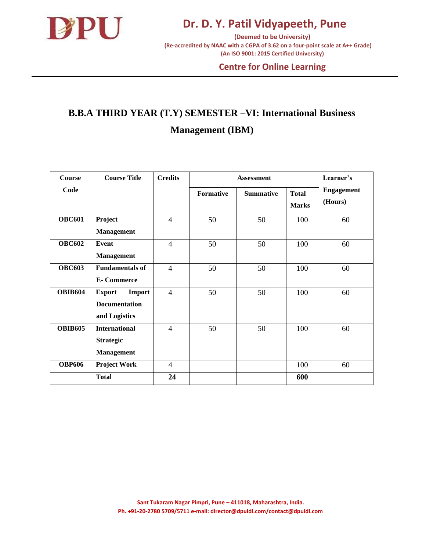

**(Deemed to be University) (Re-accredited by NAAC with a CGPA of 3.62 on a four-point scale at A++ Grade) (An ISO 9001: 2015 Certified University)** 

#### **Centre for Online Learning**

## **B.B.A THIRD YEAR (T.Y) SEMESTER –VI: International Business Management (IBM)**

| <b>Course</b>  | <b>Course Title</b>                                              | <b>Credits</b> | <b>Assessment</b> |                  |                              | Learner's                    |
|----------------|------------------------------------------------------------------|----------------|-------------------|------------------|------------------------------|------------------------------|
| Code           |                                                                  |                | <b>Formative</b>  | <b>Summative</b> | <b>Total</b><br><b>Marks</b> | <b>Engagement</b><br>(Hours) |
| <b>OBC601</b>  | Project<br><b>Management</b>                                     | $\overline{4}$ | 50                | 50               | 100                          | 60                           |
| <b>OBC602</b>  | Event<br>Management                                              | $\overline{4}$ | 50                | 50               | 100                          | 60                           |
| <b>OBC603</b>  | <b>Fundamentals of</b><br><b>E-Commerce</b>                      | $\overline{4}$ | 50                | 50               | 100                          | 60                           |
| <b>OBIB604</b> | <b>Export</b><br>Import<br><b>Documentation</b><br>and Logistics | $\overline{4}$ | 50                | 50               | 100                          | 60                           |
| <b>OBIB605</b> | <b>International</b><br><b>Strategic</b><br><b>Management</b>    | $\overline{4}$ | 50                | 50               | 100                          | 60                           |
| <b>OBP606</b>  | <b>Project Work</b>                                              | $\overline{4}$ |                   |                  | 100                          | 60                           |
|                | <b>Total</b>                                                     | 24             |                   |                  | 600                          |                              |